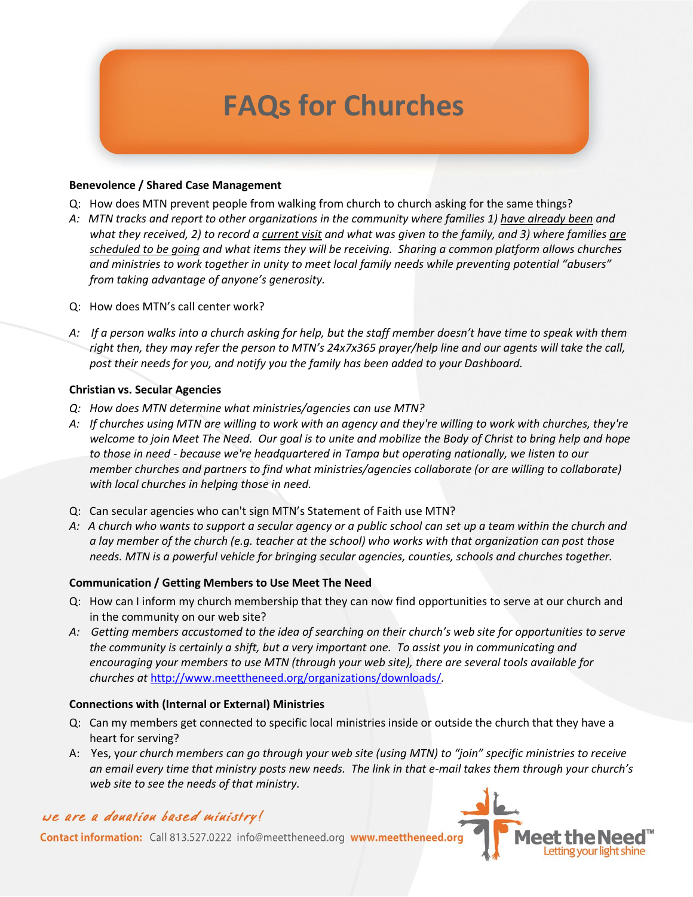# **FAQs for Churches**

### **Benevolence / Shared Case Management**

- Q: How does MTN prevent people from walking from church to church asking for the same things?
- *A: MTN tracks and report to other organizations in the community where families 1) have already been and what they received, 2) to record a current visit and what was given to the family, and 3) where families are scheduled to be going and what items they will be receiving. Sharing a common platform allows churches and ministries to work together in unity to meet local family needs while preventing potential "abusers" from taking advantage of anyone's generosity.*
- Q: How does MTN's call center work?
- *A: If a person walks into a church asking for help, but the staff member doesn't have time to speak with them right then, they may refer the person to MTN's 24x7x365 prayer/help line and our agents will take the call, post their needs for you, and notify you the family has been added to your Dashboard.*

# **Christian vs. Secular Agencies**

- *Q: How does MTN determine what ministries/agencies can use MTN?*
- *A: If churches using MTN are willing to work with an agency and they're willing to work with churches, they're welcome to join Meet The Need. Our goal is to unite and mobilize the Body of Christ to bring help and hope to those in need - because we're headquartered in Tampa but operating nationally, we listen to our member churches and partners to find what ministries/agencies collaborate (or are willing to collaborate) with local churches in helping those in need.*
- Q: Can secular agencies who can't sign MTN's Statement of Faith use MTN?
- *A: A church who wants to support a secular agency or a public school can set up a team within the church and a lay member of the church (e.g. teacher at the school) who works with that organization can post those needs. MTN is a powerful vehicle for bringing secular agencies, counties, schools and churches together.*

# **Communication / Getting Members to Use Meet The Need**

- Q: How can I inform my church membership that they can now find opportunities to serve at our church and in the community on our web site?
- *A: Getting members accustomed to the idea of searching on their church's web site for opportunities to serve the community is certainly a shift, but a very important one. To assist you in communicating and encouraging your members to use MTN (through your web site), there are several tools available for churches at* <http://www.meettheneed.org/organizations/downloads/>*.*

#### **Connections with (Internal or External) Ministries**

- Q: Can my members get connected to specific local ministries inside or outside the church that they have a heart for serving?
- A: Yes, y*our church members can go through your web site (using MTN) to "join" specific ministries to receive an email every time that ministry posts new needs. The link in that e-mail takes them through your church's web site to see the needs of that ministry.*

# we are a douation based ministry!

Contact information: Call 813.527.0222 info@meettheneed.org www.meettheneed.org

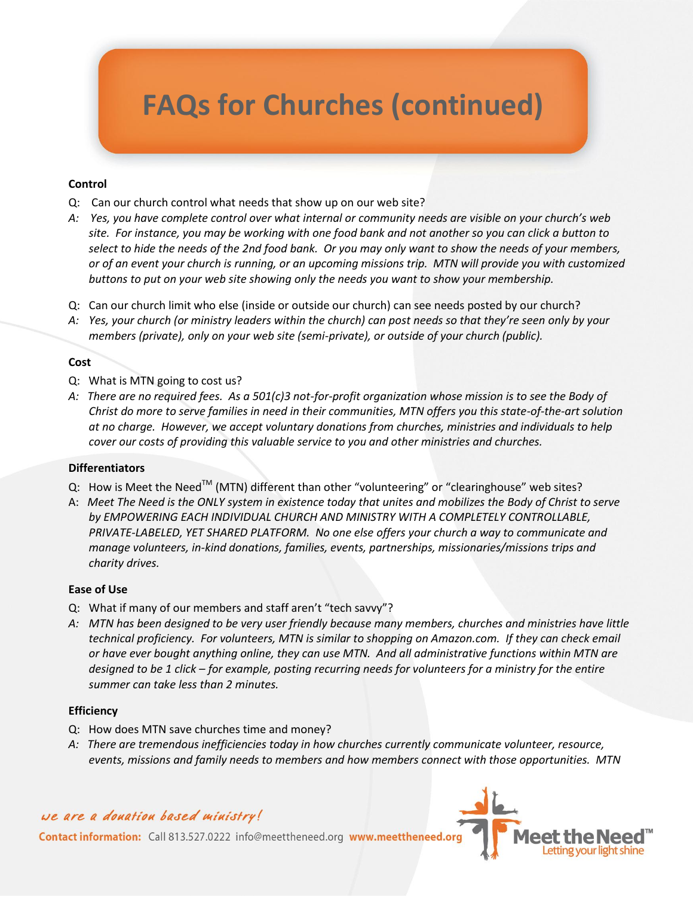# **FAQs for Churches (continued)**

### **Control**

- Q: Can our church control what needs that show up on our web site?
- *A: Yes, you have complete control over what internal or community needs are visible on your church's web site. For instance, you may be working with one food bank and not another so you can click a button to select to hide the needs of the 2nd food bank. Or you may only want to show the needs of your members, or of an event your church is running, or an upcoming missions trip. MTN will provide you with customized buttons to put on your web site showing only the needs you want to show your membership.*
- Q: Can our church limit who else (inside or outside our church) can see needs posted by our church?
- *A: Yes, your church (or ministry leaders within the church) can post needs so that they're seen only by your members (private), only on your web site (semi-private), or outside of your church (public).*

# **Cost**

- Q: What is MTN going to cost us?
- *A: There are no required fees. As a 501(c)3 not-for-profit organization whose mission is to see the Body of Christ do more to serve families in need in their communities, MTN offers you this state-of-the-art solution at no charge. However, we accept voluntary donations from churches, ministries and individuals to help cover our costs of providing this valuable service to you and other ministries and churches.*

#### **Differentiators**

- Q: How is Meet the Need<sup>TM</sup> (MTN) different than other "volunteering" or "clearinghouse" web sites?
- A: *Meet The Need is the ONLY system in existence today that unites and mobilizes the Body of Christ to serve by EMPOWERING EACH INDIVIDUAL CHURCH AND MINISTRY WITH A COMPLETELY CONTROLLABLE, PRIVATE-LABELED, YET SHARED PLATFORM. No one else offers your church a way to communicate and manage volunteers, in-kind donations, families, events, partnerships, missionaries/missions trips and charity drives.*

#### **Ease of Use**

- Q: What if many of our members and staff aren't "tech savvy"?
- *A: MTN has been designed to be very user friendly because many members, churches and ministries have little technical proficiency. For volunteers, MTN is similar to shopping on Amazon.com. If they can check email or have ever bought anything online, they can use MTN. And all administrative functions within MTN are designed to be 1 click – for example, posting recurring needs for volunteers for a ministry for the entire summer can take less than 2 minutes.*

#### **Efficiency**

- Q: How does MTN save churches time and money?
- *A: There are tremendous inefficiencies today in how churches currently communicate volunteer, resource, events, missions and family needs to members and how members connect with those opportunities. MTN*

# we are a douation based ministry!

Contact information: Call 813.527.0222 info@meettheneed.org www.meettheneed.org

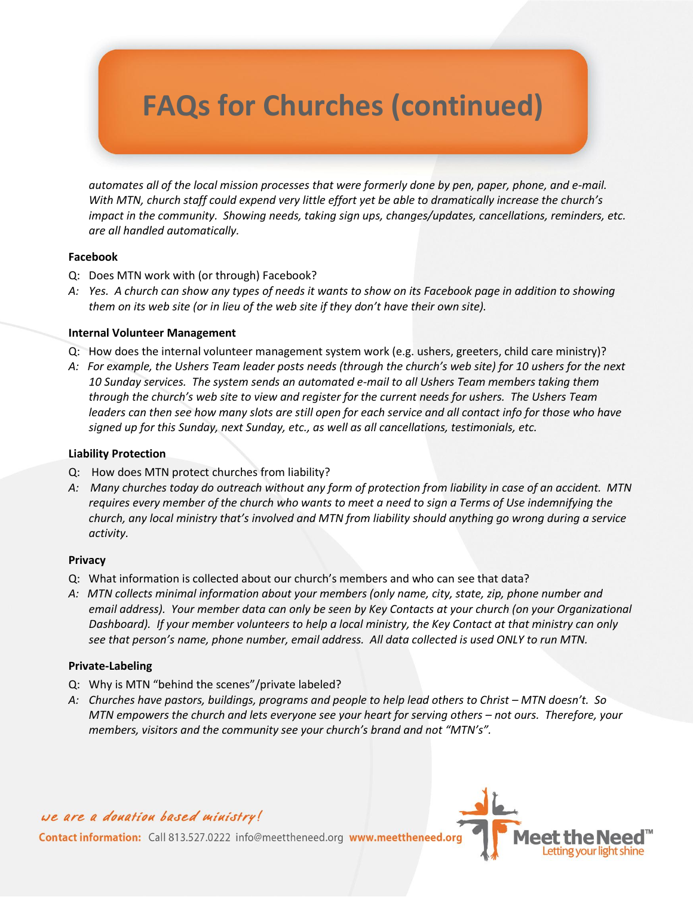# **FAQs for Churches (continued)**

*automates all of the local mission processes that were formerly done by pen, paper, phone, and e-mail. With MTN, church staff could expend very little effort yet be able to dramatically increase the church's impact in the community. Showing needs, taking sign ups, changes/updates, cancellations, reminders, etc. are all handled automatically.*

# **Facebook**

- Q: Does MTN work with (or through) Facebook?
- *A: Yes. A church can show any types of needs it wants to show on its Facebook page in addition to showing them on its web site (or in lieu of the web site if they don't have their own site).*

# **Internal Volunteer Management**

- Q: How does the internal volunteer management system work (e.g. ushers, greeters, child care ministry)?
- *A: For example, the Ushers Team leader posts needs (through the church's web site) for 10 ushers for the next 10 Sunday services. The system sends an automated e-mail to all Ushers Team members taking them through the church's web site to view and register for the current needs for ushers. The Ushers Team leaders can then see how many slots are still open for each service and all contact info for those who have signed up for this Sunday, next Sunday, etc., as well as all cancellations, testimonials, etc.*

### **Liability Protection**

- Q: How does MTN protect churches from liability?
- *A: Many churches today do outreach without any form of protection from liability in case of an accident. MTN requires every member of the church who wants to meet a need to sign a Terms of Use indemnifying the church, any local ministry that's involved and MTN from liability should anything go wrong during a service activity.*

#### **Privacy**

- Q: What information is collected about our church's members and who can see that data?
- *A: MTN collects minimal information about your members (only name, city, state, zip, phone number and email address). Your member data can only be seen by Key Contacts at your church (on your Organizational Dashboard). If your member volunteers to help a local ministry, the Key Contact at that ministry can only see that person's name, phone number, email address. All data collected is used ONLY to run MTN.*

# **Private-Labeling**

- Q: Why is MTN "behind the scenes"/private labeled?
- *A: Churches have pastors, buildings, programs and people to help lead others to Christ MTN doesn't. So MTN empowers the church and lets everyone see your heart for serving others – not ours. Therefore, your members, visitors and the community see your church's brand and not "MTN's".*

# we are a donation based ministry!